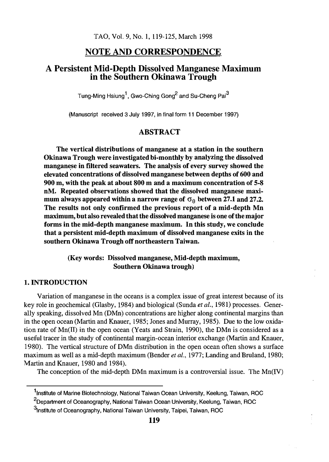# NOTE AND CORRESPONDENCE

# A Persistent Mid-Depth Dissolved Manganese Maximum in the Southern Okinawa Trough

Tung-Ming Hsiung<sup>1</sup>, Gwo-Ching Gong<sup>2</sup> and Su-Cheng Pai<sup>3</sup>

(Manuscript received 3 July 1997, in final form 11 December 1997)

# **ABSTRACT**

The vertical distributions of manganese at a station in the southern Okinawa Trough were investigated bi-monthly by analyzing the dissolved manganese in filtered seawaters. The analysis of every survey showed the elevated concentrations of dissolved manganese between depths of 600 and 900 m, with the peak at about 800 m and a maximum concentration of 5-8 nM. Repeated observations showed that the dissolved manganese maximum always appeared within a narrow range of  $\sigma_{\theta}$  between 27.1 and 27.2. The results not only confirmed the previous report of a mid-depth Mn maximum, but also revealed that the dissolved manganese is one of the major forms in the mid-depth manganese maximum. In this study, we conclude that a persistent mid-depth maximum of dissolved manganese exits in the southern Okinawa Trough off northeastern Taiwan.

### (Key words: Dissolved manganese, Mid-depth maximum, Southern Okinawa trough)

### 1. INTRODUCTION

Variation of manganese in the oceans is a complex issue of great interest because of its key role in geochemical (Glasby, 1984) and biological (Sunda *et al.*, 1981) processes. Generally speaking, dissolved Mn (DMn) concentrations are higher along continental margins than in the open ocean (Martin and Knauer, 1985; Jones and Murray, 1985). Due to the low oxidation rate of  $Mn(\text{II})$  in the open ocean (Yeats and Strain, 1990), the DMn is considered as a useful tracer in the study of continental margin-ocean interior exchange (Martin and Knauer, 1980). The vertical structure of DMn distribution in the open ocean often shows a surface maximum as well as a mid-depth maximum (Bender *et al.*, 1977; Landing and Bruland, 1980; Martin and Knauer, 1980 and 1984).

The conception of the mid-depth DMn maximum is a controversial issue. The  $Mn(V)$ 

<sup>&</sup>lt;sup>1</sup>Institute of Marine Biotechnology, National Taiwan Ocean University, Keelung, Taiwan, ROC

<sup>&</sup>lt;sup>2</sup>Department of Oceanography, National Taiwan Ocean University, Keelung, Taiwan, ROC

<sup>&</sup>lt;sup>3</sup>Institute of Oceanography, National Taiwan University, Taipei, Taiwan, ROC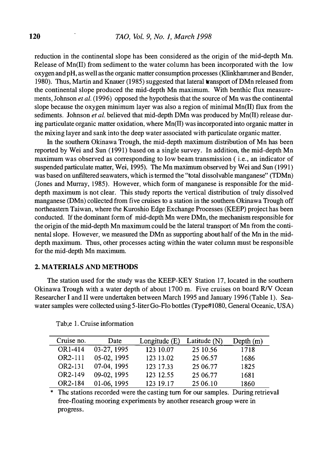reduction in the continental slope has been considered as the origin of the mid-depth Mn. Release of Mn(II) from sediment to the water column has been incorporated with the low oxygen and pH, as well as the organic matter consumption processes (Klinkhammer and Bender, 1980). Thus, Martin and Knauer (1985) suggested that lateral **transport of DM**n released from the continental slope produced the mid-depth Mn maximum. With benthic flux measurements, Johnson *et al.* (1996) opposed the hypothesis that the source of Mn was the continental slope because the oxygen minimum layer was also a region of minimal Mn(II) flux from the sediments. Johnson *et al.* believed that mid-depth DMn was produced by  $Mn(I)$  release during particulate organic matter oxidation, where Mn(II) was incorporated into organic matter in the mixing layer and sank into the deep water associated with particulate organic matter.

In the southern Okinawa Trough, the mid-depth maximum distribution of Mn has been reported by Wei and Sun (1991) based on a single survey. In addition, the mid-depth Mn maximum was observed as corresponding to low beam transmission ( i.e., an indicator of suspended particulate matter, Wei, 1995). The Mn maximum observed by Wei and Sun (1991) was based on unfiltered seawaters, which is termed the "total dissolvable manganese" (TDMn) (Jones and Murray, 1985). However, which form of manganese is responsible for the middepth maximum is not clear. This study reports the vertical distribution of truly dissolved manganese (DMn) collected from five cruises to a station in the southern Okinawa Trough off northeastern Taiwan, where the Kuroshio Edge Exchange Processes (KEEP) project has been conducted. If the dominant form of mid-depth Mn were DMn, the mechanism responsible for the origin of the mid-depth Mn maximum could be the lateral transport of Mn from the continental slope. However, we measured the DMn as supporting about half of the Mn in the middepth maximum. Thus, other processes acting within the water column must be responsible for the mid-depth Mn maximum.

#### 2. MATERIALS AND METHODS

The station used for the study was the KEEP-KEY Station 17, located in the southern Okinawa Trough with a water depth of about 1700 m. Five cruises on board R/V Ocean Researcher I and II were undertaken between March 1995 and January 1996 (Table 1). Seawater samples were collected using 5-liter Go-Flo bottles (Type#1080, General Oceanic, USA)

| Cruise no. | Date        | Longitude $(E)$ | Latitude $(N)$ | Depth $(m)$ |
|------------|-------------|-----------------|----------------|-------------|
| OR1-414    | 03-27, 1995 | 123 10.07       | 25 10.56       | 1718        |
| OR2-111    | 05-02, 1995 | 123 13.02       | 25 06.57       | 1686        |
| OR2-131    | 07-04, 1995 | 123 17.33       | 25 06.77       | 1825        |
| OR2-149    | 09-02, 1995 | 123 12.55       | 25 06.77       | 1681        |
| OR2-184    | 01-06, 1995 | 123 19.17       | 25 06.10       | 1860        |

Tab;e 1. Cruise information

\* The stations recorded were the casting turn for our samples. During retrieval free-floating mooring experiments by another research group were in progress.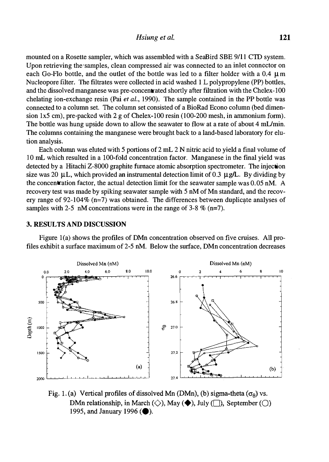mounted on a Rosette sampler, which was assembled with a SeaBird SBE 9111 CTD system. Upon retrieving the samples, clean compressed air was connected to an inlet connector on each Go-Flo bottle, and the outlet of the bottle was led to a filter holder with a 0.4  $\mu$ m Nucleopore filter. The filtrates were collected in acid washed I L polypropylene (PP) bottles, and the dissolved manganese was pre-concentrated shortly after filtration with the Chelex-100 chelating ion-exchange resin (Pai et al., 1990). The sample contained in the PP bottle was connected to a column set. The column set consisted of a BioRad Econo column (bed dimension  $1x5$  cm), pre-packed with 2 g of Chelex-100 resin (100-200 mesh, in ammonium form). The bottle was hung upside down to allow the seawater to flow at a rate of about 4 mL/min. The columns containing the manganese were brought back to a land-based laboratory for elution analysis.

Each column was eluted with 5 portions of 2 mL 2 N nitric acid to yield a final volume of 10 mL which resulted in a 100-fold concentration factor. Manganese in the final yield was detected by a Hitachi Z-8000 graphite furnace atomic absorption spectrometer. The injection size was 20  $\mu$ L, which provided an instrumental detection limit of 0.3  $\mu$ g/L. By dividing by the concentration factor, the actual detection limit for the seawater sample was 0.05 nM. A recovery test was made by spiking seawater sample with 5 nM of Mn standard, and the recovery range of 92-104% (n=7) was obtained. The differences between duplicate analyses of samples with 2-5 nM concentrations were in the range of 3-8  $\%$  (n=7). we we also the Christopy<br>
developed and the Chelex-100<br>
che sample contained in the PP bottle was<br>
do f a BioRad Econo column (bed dimen-<br>
sin (100-200 mesh, in ammonium form).<br>
vater to flow at a rate of about 4 mL/min.<br>

#### 3. RESULTS AND DISCUSSION

Figure l(a) shows the profiles of DMn concentration observed on five cruises. All profiles exhibit a surface maximum of 2-5 nM. Below the surface, DMn concentration decreases



Fig. 1. (a) Vertical profiles of dissolved Mn (DMn), (b) sigma-theta ( $\sigma_{\theta}$ ) vs. DMn relationship, in March ( $\Diamond$ ), May ( $\blacklozenge$ ), July ( $\Box$ ), September ( $\bigcirc$ ) 1995, and January 1996 ( $\bullet$ ).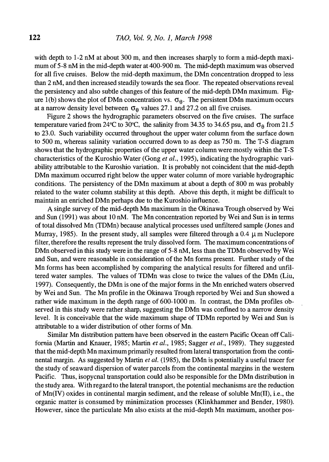with depth to 1-2 nM at about 300 m, and then increases sharply to form a mid-depth maximum of 5-8 nM in the mid-depth water at 400-900 m. The mid-depth maximum was observed for all five cruises. Below the mid-depth maximum, the DMn concentration dropped to less than 2 nM, and then increased steadily towards the sea floor. The repeated observations reveal the persistency and also subtle changes of this feature of the mid-depth DMn maximum. Figure 1(b) shows the plot of DMn concentration vs.  $\sigma_{\theta}$ . The persistent DMn maximum occurs at a narrow density level between  $\sigma_{\theta}$  values 27.1 and 27.2 on all five cruises.

Figure 2 shows the hydrographic parameters observed on the five cruises. The surface temperature varied from 24°C to 30°C, the salinity from 34.35 to 34.65 psu, and  $\sigma_{\beta}$  from 21.5 to 23.0. Such variability occurred throughout the upper water column from the surface down to 500 m, whereas salinity variation occurred down to as deep as 750 m. The T-S diagram shows that the hydrographic properties of the upper water column were mostly within the T-S characteristics of the Kuroshio Water (Gong et al., 1995), indicating the hydrographic variability attributable to the Kuroshio variation. It is probably not coincident that the mid-depth DMn maximum occurred right below the upper water column of more variable hydrographic conditions. The persistency of the DMn maximum at about a depth of 800 m was probably related to the water column stability at this depth. Above this depth, it might be difficult to maintain an enriched DMn perhaps due to the Kuroshio influence.

A single survey of the mid-depth Mn maximum in the Okinawa Trough observed by Wei and Sun (1991) was about 10 nM. The Mn concentration reported by Wei and Sun is in terms of total dissolved Mn (TDMn) because analytical processes used unfiltered sample (Jones and Murray, 1985). In the present study, all samples were filtered through a  $0.4 \mu$ m Nuclepore filter, therefore the results represent the truly dissolved form. The maximum concentrations of DMn observed in this study were in the range of 5-8 nM, less than the TDMn observed by Wei and Sun, and were reasonable in consideration of the Mn forms present. Further study of the Mn forms has been accomplished by comparing the analytical results for filtered and unfiltered water samples. The values of TDMn was close to twice the values of the DMn (Liu, 1997). Consequently, the DMn is one of the major forms in the Mn enriched waters observed by Wei and Sun. The Mn profile in the Okinawa Trough reported by Wei and Sun showed a rather wide maximum in the depth range of 600-1000 m. In contrast, the DMn profiles observed in this study were rather sharp, suggesting the DMn was confined to a narrow density level. It is conceivable that the wide maximum shape of TDMn reported by Wei and Sun is attributable to a wider distribution of other forms of Mn.

Similar Mn distribution pattern have been observed in the eastern Pacific Ocean off California (Martin and Knauer, 1985; Martin et al., 1985; Sagger et al., 1989). They suggested that the mid-depth Mn maximum primarily resulted from lateral transportation from the continental margin. As suggested by Martin et al. (1985), the DMn is potentially a useful tracer for the study of seaward dispersion of water parcels from the continental margins in the western Pacific. Thus, isopycnal transportation could also be responsible for the DMn distribution in the study area. With regard to the lateral transport, the potential mechanisms are the reduction of Mn(IV) oxides in continental margin sediment, and the release of soluble Mn(II), i.e., the organic matter is consumed by minimization processes (Klinkhammer and Bender, 1980). However, since the particulate Mn also exists at the mid-depth Mn maximum, another pos-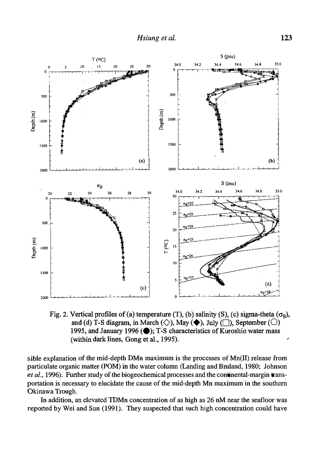

Fig. 2. Vertical profiles of (a) temperature (T), (b) salinity (S), (c) sigma-theta ( $\sigma_{\theta}$ ), and (d) T-S diagram, in March ( $\diamondsuit$ ), May ( $\blacklozenge$ ), July ( $\Box$ ), September ( $\bigcirc$ ) 1995, and January 1996 ( $\bullet$ ); T-S characteristics of Kuroshio water mass (within dark lines, Gong et al., 1995).

sible explanation of the mid-depth DMn maximum is the processes of Mn(II) release from particulate organic matter (POM) in the water column (Landing and Bruland, 1980; Johnson et al., 1996). Further study of the biogeochermical processes and the continental-margin transportation is necessary to elucidate the cause of the mid-depth Mn maximum in the southern Okinawa Trough.

In addition, an elevated TDMn concentration of as high as 26 nM near the seafloor was reported by Wei and Sun (1991). They suspected that such high concentration could have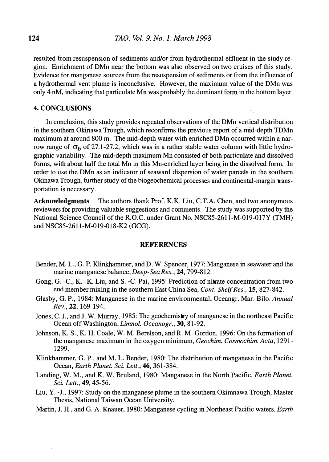resulted from resuspension of sediments and/or from hydrothermal effluent in the study region. Enrichment of DMn near the bottom was also observed on two cruises of this study. Evidence for manganese sources from the resuspension of sediments or from the influence of a hydrothermal vent plume is inconclusive. However, the maximum value of the DMn was only 4 nM, indicating that particulate Mn was probably the-dominant form in the bottom layer.

#### 4. CONCLUSIONS

In conclusion, this study provides repeated observations of the DMn vertical distribution in the southern Okinawa Trough, which reconfirms the previous report of a mid-depth TDMn maximum at around 800 m. The mid-depth water with enriched DMn occurred within a narrow range of  $\sigma_0$  of 27.1-27.2, which was in a rather stable water column with little hydrographic variability. The mid-depth maximum Mn consisted of both particulate and dissolved forms, with about half the total Mn in this Mn-enriched layer being in the dissolved form. In order to use the DMn as an indicator of seaward dispersion of water parcels in the southern Okinawa Trough, further study of the biogeochemical processes and continental-margin transportation is necessary.

Acknowledgments The authors thank Prof. K.K. Liu, C.T.A. Chen, and two anonymous reviewers for providing valuable suggestions and comments. The study was supported by the National Science Council of the R.O.C. under Grant No. NSC85-2611-M-019-017Y (TMH) and NSC85-2611-M-019-018-K2 (GCG).

#### **REFERENCES**

- Bender, M. L., G. P. Klinkhammer, and D. W. Spencer, 1977: Manganese in seawater and the marine manganese balance, Deep-Sea Res., 24, 799-812.
- Gong, G. -C., K. -K. Liu, and S. -C. Pai, 1995: Prediction of nitrate concentration from two end member mixing in the southern East China Sea, Cont. Shelf Res., 15, 827-842.
- Glasby, G. P., 1984: Manganese in the marine environmental, Oceangr. Mar. Bilo. Annual Rev., 22, 169-194.
- Jones, C. J., and J. W. Murray, 1985: The geochemistry of manganese in the northeast Pacific Ocean off Washington, Limnol. Oceanogr., 30, 81-92.
- Johnson, K. S., K. H. Coale, W. M. Berelson, and R. M. Gordon, 1996: On the formation of the manganese maximum in the oxygen minimum, Geochim. Cosmochim. Acta, 1291-1299.
- Klinkhammer, G. P., and M. L. Bender, 1980: The distribution of manganese in the Pacific Ocean, Earth Planet. Sci. Lett., 46, 361-384.
- Landing, W. M., and K. W. Bruland, 1980: Manganese in the North Pacific, *Earth Planet.* Sci. Lett., 49, 45-56.
- Liu, Y. -J., 1997: Study on the manganese plume in the southern Okimnawa Trough, Master Thesis, National Taiwan Ocean University.
- Martin, J. H., and G. A. Knauer, 1980: Manganese cycling in Northeast Pacific waters, Earth